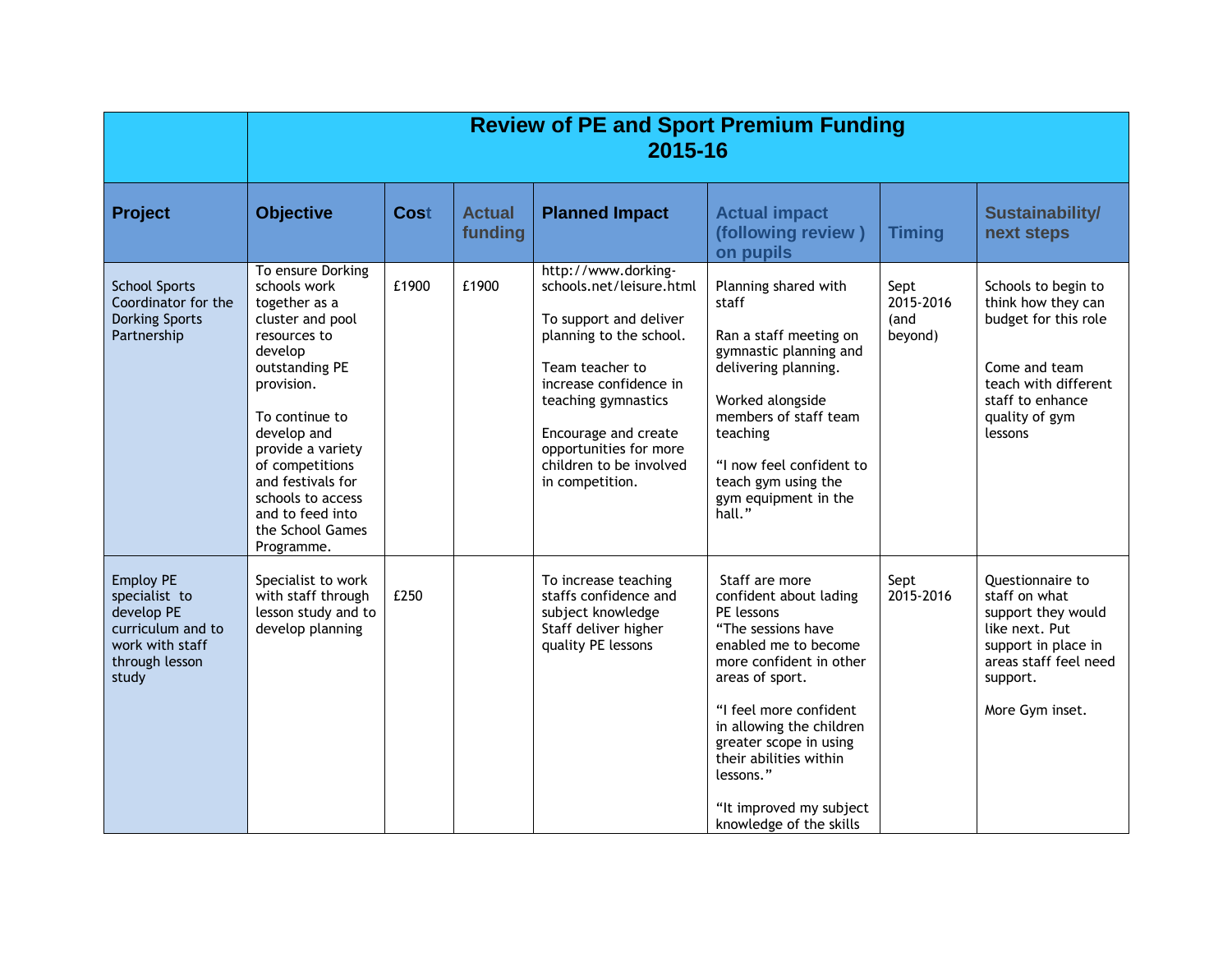|                                                                                                                    | <b>Review of PE and Sport Premium Funding</b><br>2015-16                                                                                                                                                                                                                                                   |             |                          |                                                                                                                                                                                                                                                                          |                                                                                                                                                                                                                                                                                                                                 |                                      |                                                                                                                                                                 |
|--------------------------------------------------------------------------------------------------------------------|------------------------------------------------------------------------------------------------------------------------------------------------------------------------------------------------------------------------------------------------------------------------------------------------------------|-------------|--------------------------|--------------------------------------------------------------------------------------------------------------------------------------------------------------------------------------------------------------------------------------------------------------------------|---------------------------------------------------------------------------------------------------------------------------------------------------------------------------------------------------------------------------------------------------------------------------------------------------------------------------------|--------------------------------------|-----------------------------------------------------------------------------------------------------------------------------------------------------------------|
| <b>Project</b>                                                                                                     | <b>Objective</b>                                                                                                                                                                                                                                                                                           | <b>Cost</b> | <b>Actual</b><br>funding | <b>Planned Impact</b>                                                                                                                                                                                                                                                    | <b>Actual impact</b><br>(following review)<br>on pupils                                                                                                                                                                                                                                                                         | <b>Timing</b>                        | <b>Sustainability/</b><br>next steps                                                                                                                            |
| <b>School Sports</b><br>Coordinator for the<br><b>Dorking Sports</b><br>Partnership                                | To ensure Dorking<br>schools work<br>together as a<br>cluster and pool<br>resources to<br>develop<br>outstanding PE<br>provision.<br>To continue to<br>develop and<br>provide a variety<br>of competitions<br>and festivals for<br>schools to access<br>and to feed into<br>the School Games<br>Programme. | £1900       | £1900                    | http://www.dorking-<br>schools.net/leisure.html<br>To support and deliver<br>planning to the school.<br>Team teacher to<br>increase confidence in<br>teaching gymnastics<br>Encourage and create<br>opportunities for more<br>children to be involved<br>in competition. | Planning shared with<br>staff<br>Ran a staff meeting on<br>gymnastic planning and<br>delivering planning.<br>Worked alongside<br>members of staff team<br>teaching<br>"I now feel confident to<br>teach gym using the<br>gym equipment in the<br>hall."                                                                         | Sept<br>2015-2016<br>(and<br>beyond) | Schools to begin to<br>think how they can<br>budget for this role<br>Come and team<br>teach with different<br>staff to enhance<br>quality of gym<br>lessons     |
| <b>Employ PE</b><br>specialist to<br>develop PE<br>curriculum and to<br>work with staff<br>through lesson<br>study | Specialist to work<br>with staff through<br>lesson study and to<br>develop planning                                                                                                                                                                                                                        | £250        |                          | To increase teaching<br>staffs confidence and<br>subject knowledge<br>Staff deliver higher<br>quality PE lessons                                                                                                                                                         | Staff are more<br>confident about lading<br>PE lessons<br>"The sessions have<br>enabled me to become<br>more confident in other<br>areas of sport.<br>"I feel more confident<br>in allowing the children<br>greater scope in using<br>their abilities within<br>lessons."<br>"It improved my subject<br>knowledge of the skills | Sept<br>2015-2016                    | <b>Ouestionnaire to</b><br>staff on what<br>support they would<br>like next. Put<br>support in place in<br>areas staff feel need<br>support.<br>More Gym inset. |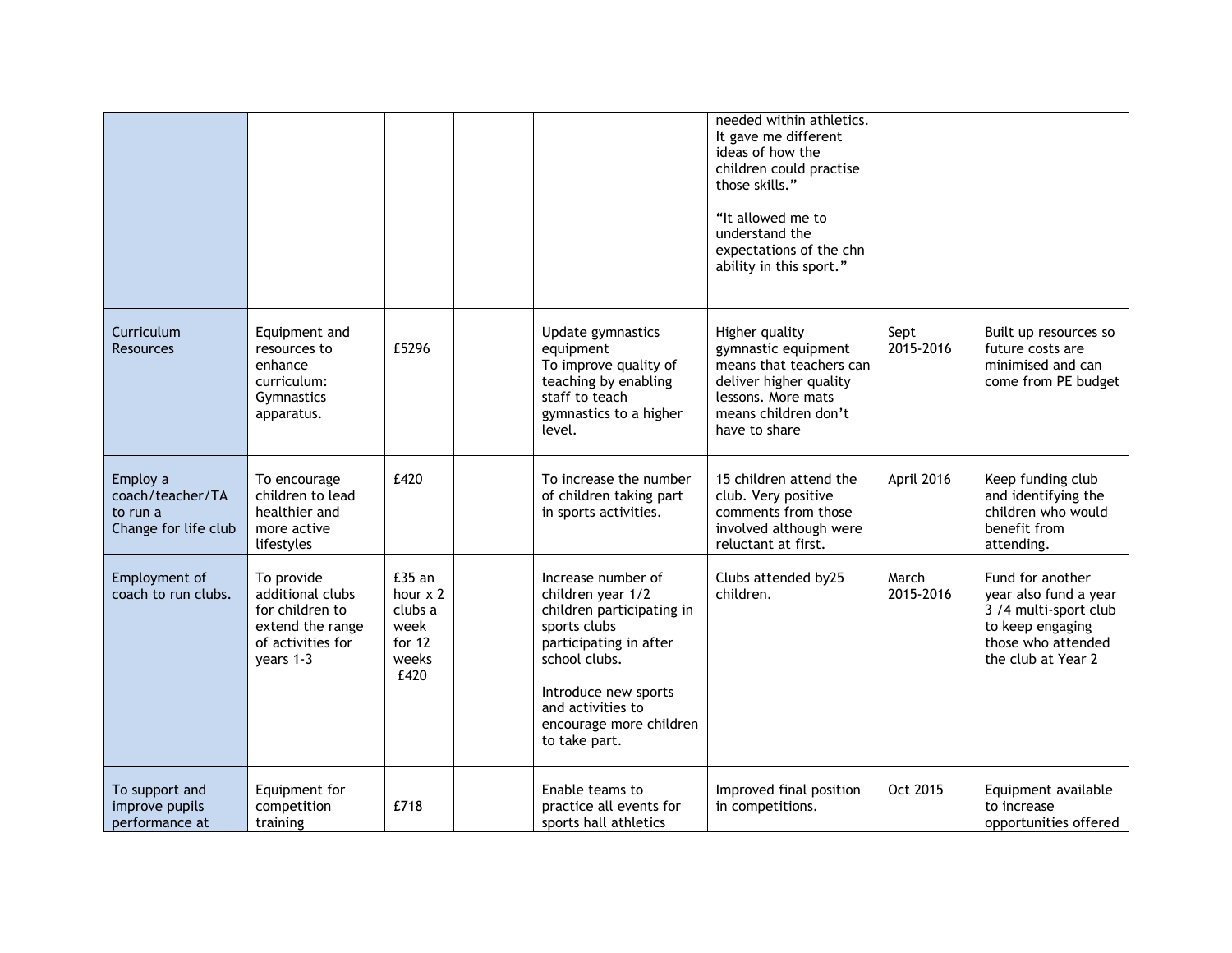|                                                                  |                                                                                                         |                                                                  |                                                                                                                                                                                                                          | needed within athletics.<br>It gave me different<br>ideas of how the<br>children could practise<br>those skills."<br>"It allowed me to<br>understand the<br>expectations of the chn<br>ability in this sport." |                    |                                                                                                                                    |
|------------------------------------------------------------------|---------------------------------------------------------------------------------------------------------|------------------------------------------------------------------|--------------------------------------------------------------------------------------------------------------------------------------------------------------------------------------------------------------------------|----------------------------------------------------------------------------------------------------------------------------------------------------------------------------------------------------------------|--------------------|------------------------------------------------------------------------------------------------------------------------------------|
| Curriculum<br><b>Resources</b>                                   | Equipment and<br>resources to<br>enhance<br>curriculum:<br>Gymnastics<br>apparatus.                     | £5296                                                            | Update gymnastics<br>equipment<br>To improve quality of<br>teaching by enabling<br>staff to teach<br>gymnastics to a higher<br>level.                                                                                    | Higher quality<br>gymnastic equipment<br>means that teachers can<br>deliver higher quality<br>lessons. More mats<br>means children don't<br>have to share                                                      | Sept<br>2015-2016  | Built up resources so<br>future costs are<br>minimised and can<br>come from PE budget                                              |
| Employ a<br>coach/teacher/TA<br>to run a<br>Change for life club | To encourage<br>children to lead<br>healthier and<br>more active<br>lifestyles                          | £420                                                             | To increase the number<br>of children taking part<br>in sports activities.                                                                                                                                               | 15 children attend the<br>club. Very positive<br>comments from those<br>involved although were<br>reluctant at first.                                                                                          | April 2016         | Keep funding club<br>and identifying the<br>children who would<br>benefit from<br>attending.                                       |
| Employment of<br>coach to run clubs.                             | To provide<br>additional clubs<br>for children to<br>extend the range<br>of activities for<br>years 1-3 | £35 an<br>hour x 2<br>clubs a<br>week<br>for 12<br>weeks<br>£420 | Increase number of<br>children year 1/2<br>children participating in<br>sports clubs<br>participating in after<br>school clubs.<br>Introduce new sports<br>and activities to<br>encourage more children<br>to take part. | Clubs attended by25<br>children.                                                                                                                                                                               | March<br>2015-2016 | Fund for another<br>year also fund a year<br>3 /4 multi-sport club<br>to keep engaging<br>those who attended<br>the club at Year 2 |
| To support and<br>improve pupils<br>performance at               | Equipment for<br>competition<br>training                                                                | £718                                                             | Enable teams to<br>practice all events for<br>sports hall athletics                                                                                                                                                      | Improved final position<br>in competitions.                                                                                                                                                                    | Oct 2015           | Equipment available<br>to increase<br>opportunities offered                                                                        |